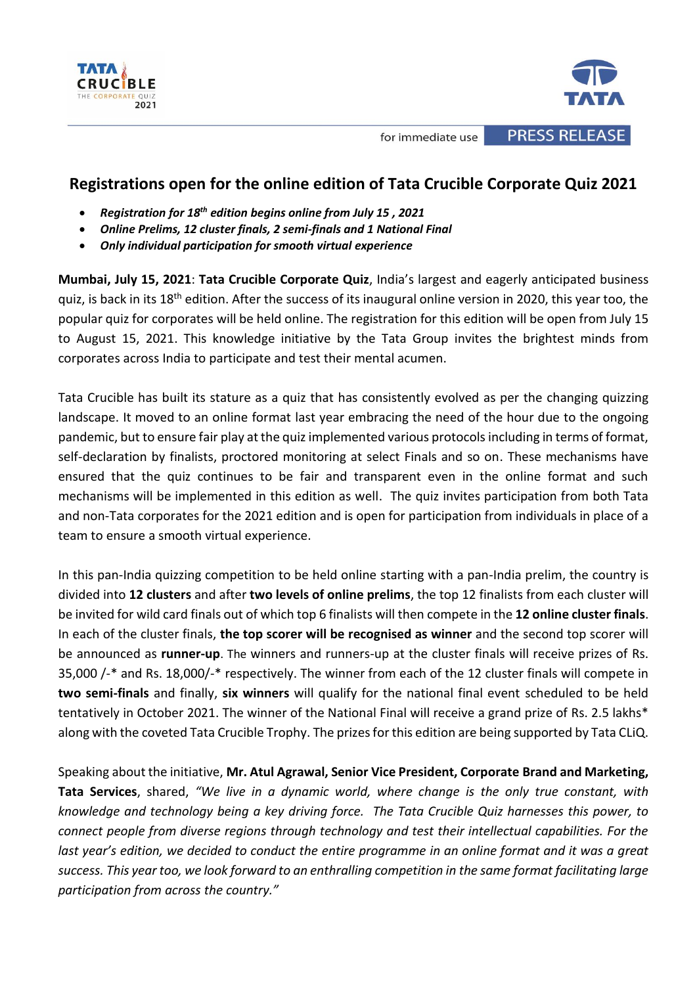



**PRESS RELEASE** 

for immediate use

# **Registrations open for the online edition of Tata Crucible Corporate Quiz 2021**

- *Registration for 18th edition begins online from July 15 , 2021*
- *Online Prelims, 12 cluster finals, 2 semi-finals and 1 National Final*
- *Only individual participation for smooth virtual experience*

**Mumbai, July 15, 2021**: **Tata Crucible Corporate Quiz**, India's largest and eagerly anticipated business quiz, is back in its 18<sup>th</sup> edition. After the success of its inaugural online version in 2020, this year too, the popular quiz for corporates will be held online. The registration for this edition will be open from July 15 to August 15, 2021. This knowledge initiative by the Tata Group invites the brightest minds from corporates across India to participate and test their mental acumen.

Tata Crucible has built its stature as a quiz that has consistently evolved as per the changing quizzing landscape. It moved to an online format last year embracing the need of the hour due to the ongoing pandemic, but to ensure fair play at the quiz implemented various protocols including in terms of format, self-declaration by finalists, proctored monitoring at select Finals and so on. These mechanisms have ensured that the quiz continues to be fair and transparent even in the online format and such mechanisms will be implemented in this edition as well. The quiz invites participation from both Tata and non-Tata corporates for the 2021 edition and is open for participation from individuals in place of a team to ensure a smooth virtual experience.

In this pan-India quizzing competition to be held online starting with a pan-India prelim, the country is divided into **12 clusters** and after **two levels of online prelims**, the top 12 finalists from each cluster will be invited for wild card finals out of which top 6 finalists will then compete in the **12 online cluster finals**. In each of the cluster finals, **the top scorer will be recognised as winner** and the second top scorer will be announced as **runner-up**. The winners and runners-up at the cluster finals will receive prizes of Rs. 35,000 /-\* and Rs. 18,000/-\* respectively. The winner from each of the 12 cluster finals will compete in **two semi-finals** and finally, **six winners** will qualify for the national final event scheduled to be held tentatively in October 2021. The winner of the National Final will receive a grand prize of Rs. 2.5 lakhs\* along with the coveted Tata Crucible Trophy. The prizes for this edition are being supported by Tata CLiQ.

Speaking about the initiative, **Mr. Atul Agrawal, Senior Vice President, Corporate Brand and Marketing, Tata Services**, shared, *"We live in a dynamic world, where change is the only true constant, with knowledge and technology being a key driving force. The Tata Crucible Quiz harnesses this power, to connect people from diverse regions through technology and test their intellectual capabilities. For the last year's edition, we decided to conduct the entire programme in an online format and it was a great success. This year too, we look forward to an enthralling competition in the same format facilitating large participation from across the country."*